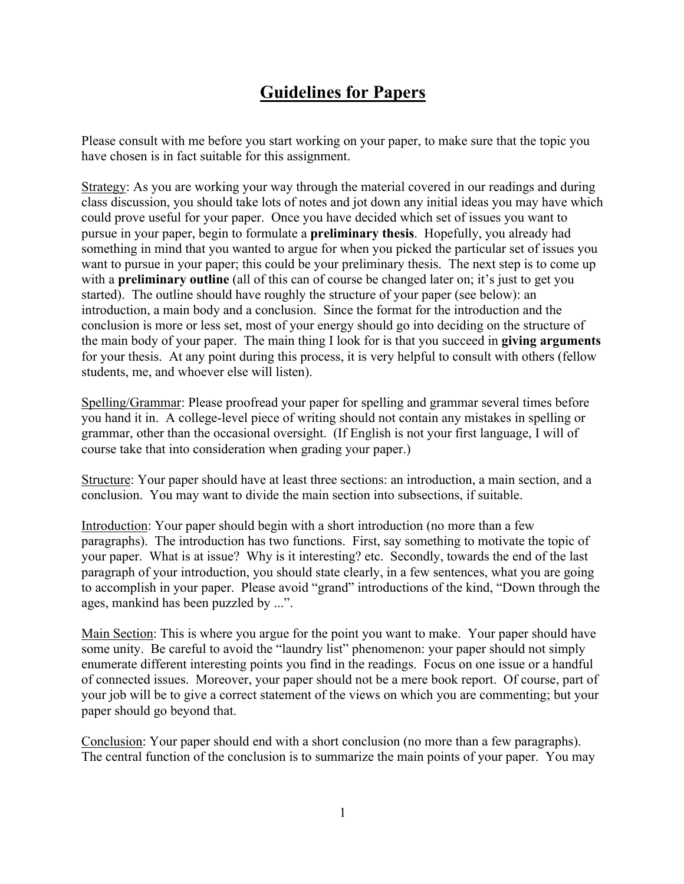## **Guidelines for Papers**

Please consult with me before you start working on your paper, to make sure that the topic you have chosen is in fact suitable for this assignment.

Strategy: As you are working your way through the material covered in our readings and during class discussion, you should take lots of notes and jot down any initial ideas you may have which could prove useful for your paper. Once you have decided which set of issues you want to pursue in your paper, begin to formulate a **preliminary thesis**. Hopefully, you already had something in mind that you wanted to argue for when you picked the particular set of issues you want to pursue in your paper; this could be your preliminary thesis. The next step is to come up with a **preliminary outline** (all of this can of course be changed later on; it's just to get you started). The outline should have roughly the structure of your paper (see below): an introduction, a main body and a conclusion. Since the format for the introduction and the conclusion is more or less set, most of your energy should go into deciding on the structure of the main body of your paper. The main thing I look for is that you succeed in **giving arguments** for your thesis. At any point during this process, it is very helpful to consult with others (fellow students, me, and whoever else will listen).

Spelling/Grammar: Please proofread your paper for spelling and grammar several times before you hand it in. A college-level piece of writing should not contain any mistakes in spelling or grammar, other than the occasional oversight. (If English is not your first language, I will of course take that into consideration when grading your paper.)

Structure: Your paper should have at least three sections: an introduction, a main section, and a conclusion. You may want to divide the main section into subsections, if suitable.

Introduction: Your paper should begin with a short introduction (no more than a few paragraphs). The introduction has two functions. First, say something to motivate the topic of your paper. What is at issue? Why is it interesting? etc. Secondly, towards the end of the last paragraph of your introduction, you should state clearly, in a few sentences, what you are going to accomplish in your paper. Please avoid "grand" introductions of the kind, "Down through the ages, mankind has been puzzled by ...".

Main Section: This is where you argue for the point you want to make. Your paper should have some unity. Be careful to avoid the "laundry list" phenomenon: your paper should not simply enumerate different interesting points you find in the readings. Focus on one issue or a handful of connected issues. Moreover, your paper should not be a mere book report. Of course, part of your job will be to give a correct statement of the views on which you are commenting; but your paper should go beyond that.

Conclusion: Your paper should end with a short conclusion (no more than a few paragraphs). The central function of the conclusion is to summarize the main points of your paper. You may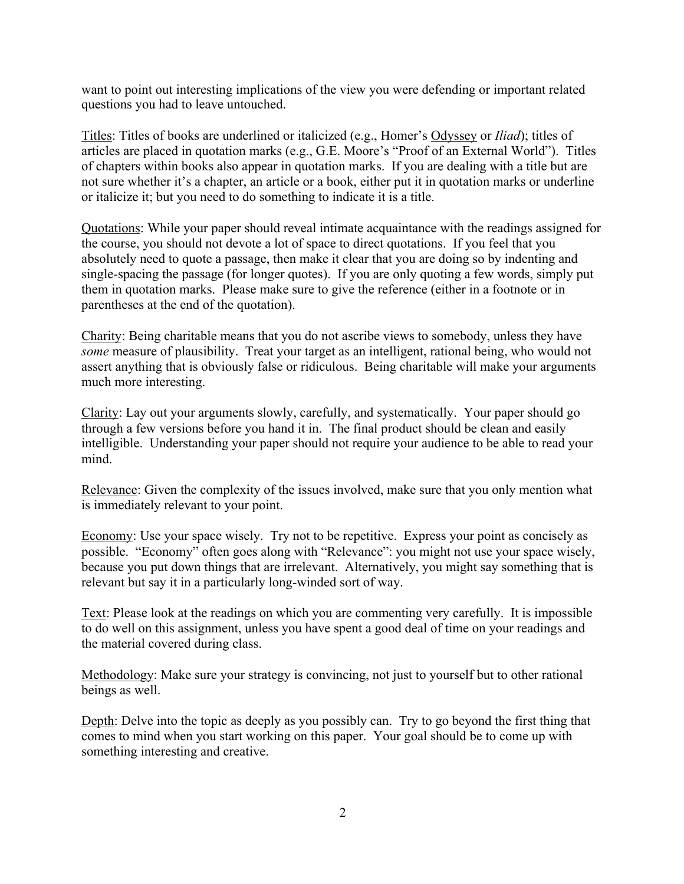want to point out interesting implications of the view you were defending or important related questions you had to leave untouched.

Titles: Titles of books are underlined or italicized (e.g., Homer's Odyssey or *Iliad*); titles of articles are placed in quotation marks (e.g., G.E. Moore's "Proof of an External World"). Titles of chapters within books also appear in quotation marks. If you are dealing with a title but are not sure whether it's a chapter, an article or a book, either put it in quotation marks or underline or italicize it; but you need to do something to indicate it is a title.

Quotations: While your paper should reveal intimate acquaintance with the readings assigned for the course, you should not devote a lot of space to direct quotations. If you feel that you absolutely need to quote a passage, then make it clear that you are doing so by indenting and single-spacing the passage (for longer quotes). If you are only quoting a few words, simply put them in quotation marks. Please make sure to give the reference (either in a footnote or in parentheses at the end of the quotation).

Charity: Being charitable means that you do not ascribe views to somebody, unless they have *some* measure of plausibility. Treat your target as an intelligent, rational being, who would not assert anything that is obviously false or ridiculous. Being charitable will make your arguments much more interesting.

Clarity: Lay out your arguments slowly, carefully, and systematically. Your paper should go through a few versions before you hand it in. The final product should be clean and easily intelligible. Understanding your paper should not require your audience to be able to read your mind.

Relevance: Given the complexity of the issues involved, make sure that you only mention what is immediately relevant to your point.

Economy: Use your space wisely. Try not to be repetitive. Express your point as concisely as possible. "Economy" often goes along with "Relevance": you might not use your space wisely, because you put down things that are irrelevant. Alternatively, you might say something that is relevant but say it in a particularly long-winded sort of way.

Text: Please look at the readings on which you are commenting very carefully. It is impossible to do well on this assignment, unless you have spent a good deal of time on your readings and the material covered during class.

Methodology: Make sure your strategy is convincing, not just to yourself but to other rational beings as well.

Depth: Delve into the topic as deeply as you possibly can. Try to go beyond the first thing that comes to mind when you start working on this paper. Your goal should be to come up with something interesting and creative.